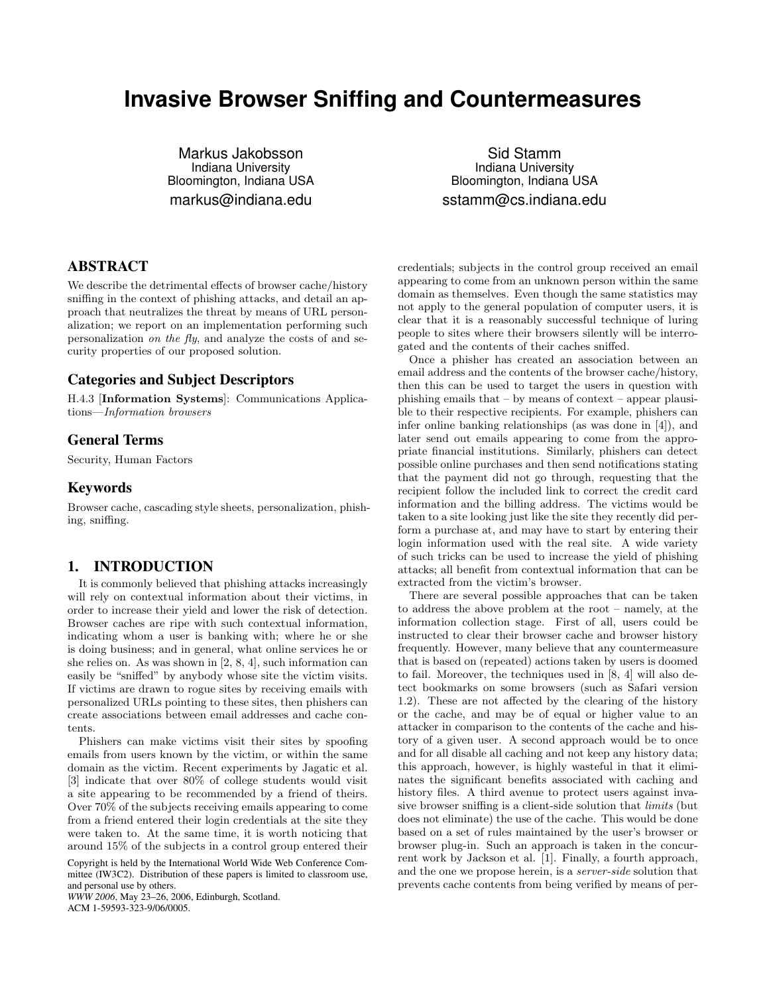# **Invasive Browser Sniffing and Countermeasures**

Markus Jakobsson Indiana University Bloomington, Indiana USA markus@indiana.edu

Sid Stamm Indiana University Bloomington, Indiana USA sstamm@cs.indiana.edu

## ABSTRACT

We describe the detrimental effects of browser cache/history sniffing in the context of phishing attacks, and detail an approach that neutralizes the threat by means of URL personalization; we report on an implementation performing such personalization *on the fly*, and analyze the costs of and security properties of our proposed solution.

### Categories and Subject Descriptors

H.4.3 [Information Systems]: Communications Applications—Information browsers

#### General Terms

Security, Human Factors

#### Keywords

Browser cache, cascading style sheets, personalization, phishing, sniffing.

## 1. INTRODUCTION

It is commonly believed that phishing attacks increasingly will rely on contextual information about their victims, in order to increase their yield and lower the risk of detection. Browser caches are ripe with such contextual information, indicating whom a user is banking with; where he or she is doing business; and in general, what online services he or she relies on. As was shown in [2, 8, 4], such information can easily be "sniffed" by anybody whose site the victim visits. If victims are drawn to rogue sites by receiving emails with personalized URLs pointing to these sites, then phishers can create associations between email addresses and cache contents.

Phishers can make victims visit their sites by spoofing emails from users known by the victim, or within the same domain as the victim. Recent experiments by Jagatic et al. [3] indicate that over 80% of college students would visit a site appearing to be recommended by a friend of theirs. Over 70% of the subjects receiving emails appearing to come from a friend entered their login credentials at the site they were taken to. At the same time, it is worth noticing that around 15% of the subjects in a control group entered their

Copyright is held by the International World Wide Web Conference Committee (IW3C2). Distribution of these papers is limited to classroom use, and personal use by others.

*WWW 2006*, May 23–26, 2006, Edinburgh, Scotland. ACM 1-59593-323-9/06/0005.

credentials; subjects in the control group received an email appearing to come from an unknown person within the same domain as themselves. Even though the same statistics may not apply to the general population of computer users, it is clear that it is a reasonably successful technique of luring people to sites where their browsers silently will be interrogated and the contents of their caches sniffed.

Once a phisher has created an association between an email address and the contents of the browser cache/history, then this can be used to target the users in question with phishing emails that – by means of context – appear plausible to their respective recipients. For example, phishers can infer online banking relationships (as was done in [4]), and later send out emails appearing to come from the appropriate financial institutions. Similarly, phishers can detect possible online purchases and then send notifications stating that the payment did not go through, requesting that the recipient follow the included link to correct the credit card information and the billing address. The victims would be taken to a site looking just like the site they recently did perform a purchase at, and may have to start by entering their login information used with the real site. A wide variety of such tricks can be used to increase the yield of phishing attacks; all benefit from contextual information that can be extracted from the victim's browser.

There are several possible approaches that can be taken to address the above problem at the root – namely, at the information collection stage. First of all, users could be instructed to clear their browser cache and browser history frequently. However, many believe that any countermeasure that is based on (repeated) actions taken by users is doomed to fail. Moreover, the techniques used in [8, 4] will also detect bookmarks on some browsers (such as Safari version 1.2). These are not affected by the clearing of the history or the cache, and may be of equal or higher value to an attacker in comparison to the contents of the cache and history of a given user. A second approach would be to once and for all disable all caching and not keep any history data; this approach, however, is highly wasteful in that it eliminates the significant benefits associated with caching and history files. A third avenue to protect users against invasive browser sniffing is a client-side solution that limits (but does not eliminate) the use of the cache. This would be done based on a set of rules maintained by the user's browser or browser plug-in. Such an approach is taken in the concurrent work by Jackson et al. [1]. Finally, a fourth approach, and the one we propose herein, is a server-side solution that prevents cache contents from being verified by means of per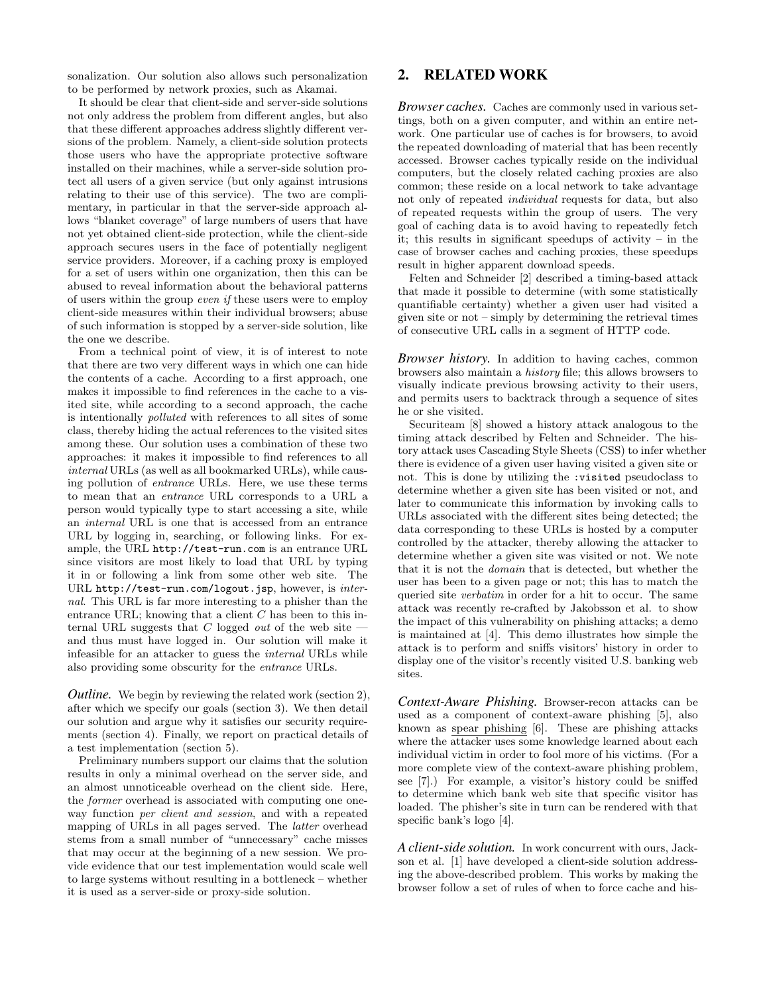sonalization. Our solution also allows such personalization to be performed by network proxies, such as Akamai.

It should be clear that client-side and server-side solutions not only address the problem from different angles, but also that these different approaches address slightly different versions of the problem. Namely, a client-side solution protects those users who have the appropriate protective software installed on their machines, while a server-side solution protect all users of a given service (but only against intrusions relating to their use of this service). The two are complimentary, in particular in that the server-side approach allows "blanket coverage" of large numbers of users that have not yet obtained client-side protection, while the client-side approach secures users in the face of potentially negligent service providers. Moreover, if a caching proxy is employed for a set of users within one organization, then this can be abused to reveal information about the behavioral patterns of users within the group even if these users were to employ client-side measures within their individual browsers; abuse of such information is stopped by a server-side solution, like the one we describe.

From a technical point of view, it is of interest to note that there are two very different ways in which one can hide the contents of a cache. According to a first approach, one makes it impossible to find references in the cache to a visited site, while according to a second approach, the cache is intentionally polluted with references to all sites of some class, thereby hiding the actual references to the visited sites among these. Our solution uses a combination of these two approaches: it makes it impossible to find references to all internal URLs (as well as all bookmarked URLs), while causing pollution of entrance URLs. Here, we use these terms to mean that an entrance URL corresponds to a URL a person would typically type to start accessing a site, while an internal URL is one that is accessed from an entrance URL by logging in, searching, or following links. For example, the URL http://test-run.com is an entrance URL since visitors are most likely to load that URL by typing it in or following a link from some other web site. The URL http://test-run.com/logout.jsp, however, is internal. This URL is far more interesting to a phisher than the entrance URL; knowing that a client  $C$  has been to this internal URL suggests that  $C$  logged out of the web site  $$ and thus must have logged in. Our solution will make it infeasible for an attacker to guess the internal URLs while also providing some obscurity for the entrance URLs.

*Outline.* We begin by reviewing the related work (section 2), after which we specify our goals (section 3). We then detail our solution and argue why it satisfies our security requirements (section 4). Finally, we report on practical details of a test implementation (section 5).

Preliminary numbers support our claims that the solution results in only a minimal overhead on the server side, and an almost unnoticeable overhead on the client side. Here, the former overhead is associated with computing one oneway function per client and session, and with a repeated mapping of URLs in all pages served. The latter overhead stems from a small number of "unnecessary" cache misses that may occur at the beginning of a new session. We provide evidence that our test implementation would scale well to large systems without resulting in a bottleneck – whether it is used as a server-side or proxy-side solution.

## 2. RELATED WORK

*Browser caches.* Caches are commonly used in various settings, both on a given computer, and within an entire network. One particular use of caches is for browsers, to avoid the repeated downloading of material that has been recently accessed. Browser caches typically reside on the individual computers, but the closely related caching proxies are also common; these reside on a local network to take advantage not only of repeated individual requests for data, but also of repeated requests within the group of users. The very goal of caching data is to avoid having to repeatedly fetch it; this results in significant speedups of activity – in the case of browser caches and caching proxies, these speedups result in higher apparent download speeds.

Felten and Schneider [2] described a timing-based attack that made it possible to determine (with some statistically quantifiable certainty) whether a given user had visited a given site or not – simply by determining the retrieval times of consecutive URL calls in a segment of HTTP code.

*Browser history.* In addition to having caches, common browsers also maintain a history file; this allows browsers to visually indicate previous browsing activity to their users, and permits users to backtrack through a sequence of sites he or she visited.

Securiteam [8] showed a history attack analogous to the timing attack described by Felten and Schneider. The history attack uses Cascading Style Sheets (CSS) to infer whether there is evidence of a given user having visited a given site or not. This is done by utilizing the :visited pseudoclass to determine whether a given site has been visited or not, and later to communicate this information by invoking calls to URLs associated with the different sites being detected; the data corresponding to these URLs is hosted by a computer controlled by the attacker, thereby allowing the attacker to determine whether a given site was visited or not. We note that it is not the domain that is detected, but whether the user has been to a given page or not; this has to match the queried site verbatim in order for a hit to occur. The same attack was recently re-crafted by Jakobsson et al. to show the impact of this vulnerability on phishing attacks; a demo is maintained at [4]. This demo illustrates how simple the attack is to perform and sniffs visitors' history in order to display one of the visitor's recently visited U.S. banking web sites.

*Context-Aware Phishing.* Browser-recon attacks can be used as a component of context-aware phishing [5], also known as spear phishing [6]. These are phishing attacks where the attacker uses some knowledge learned about each individual victim in order to fool more of his victims. (For a more complete view of the context-aware phishing problem, see [7].) For example, a visitor's history could be sniffed to determine which bank web site that specific visitor has loaded. The phisher's site in turn can be rendered with that specific bank's logo [4].

*A client-side solution.* In work concurrent with ours, Jackson et al. [1] have developed a client-side solution addressing the above-described problem. This works by making the browser follow a set of rules of when to force cache and his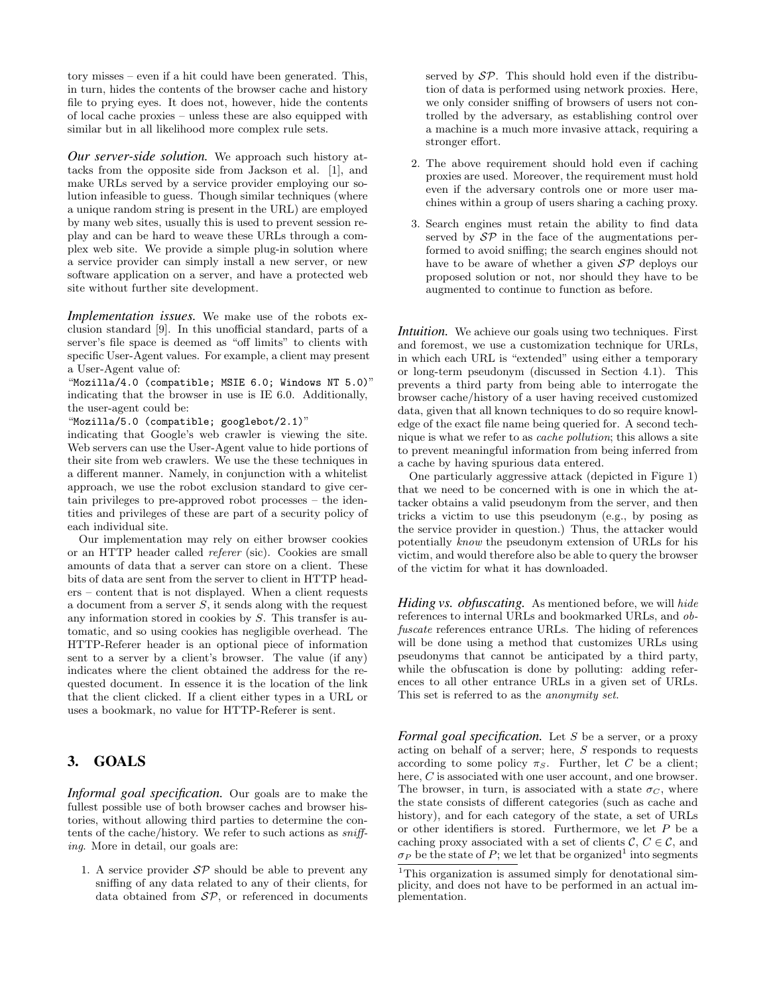tory misses – even if a hit could have been generated. This, in turn, hides the contents of the browser cache and history file to prying eyes. It does not, however, hide the contents of local cache proxies – unless these are also equipped with similar but in all likelihood more complex rule sets.

*Our server-side solution.* We approach such history attacks from the opposite side from Jackson et al. [1], and make URLs served by a service provider employing our solution infeasible to guess. Though similar techniques (where a unique random string is present in the URL) are employed by many web sites, usually this is used to prevent session replay and can be hard to weave these URLs through a complex web site. We provide a simple plug-in solution where a service provider can simply install a new server, or new software application on a server, and have a protected web site without further site development.

*Implementation issues.* We make use of the robots exclusion standard [9]. In this unofficial standard, parts of a server's file space is deemed as "off limits" to clients with specific User-Agent values. For example, a client may present a User-Agent value of:

"Mozilla/4.0 (compatible; MSIE 6.0; Windows NT 5.0)" indicating that the browser in use is IE 6.0. Additionally, the user-agent could be:

"Mozilla/5.0 (compatible; googlebot/2.1)"

indicating that Google's web crawler is viewing the site. Web servers can use the User-Agent value to hide portions of their site from web crawlers. We use the these techniques in a different manner. Namely, in conjunction with a whitelist approach, we use the robot exclusion standard to give certain privileges to pre-approved robot processes – the identities and privileges of these are part of a security policy of each individual site.

Our implementation may rely on either browser cookies or an HTTP header called referer (sic). Cookies are small amounts of data that a server can store on a client. These bits of data are sent from the server to client in HTTP headers – content that is not displayed. When a client requests a document from a server  $S$ , it sends along with the request any information stored in cookies by S. This transfer is automatic, and so using cookies has negligible overhead. The HTTP-Referer header is an optional piece of information sent to a server by a client's browser. The value (if any) indicates where the client obtained the address for the requested document. In essence it is the location of the link that the client clicked. If a client either types in a URL or uses a bookmark, no value for HTTP-Referer is sent.

## 3. GOALS

*Informal goal specification.* Our goals are to make the fullest possible use of both browser caches and browser histories, without allowing third parties to determine the contents of the cache/history. We refer to such actions as sniffing. More in detail, our goals are:

1. A service provider  $\mathcal{SP}$  should be able to prevent any sniffing of any data related to any of their clients, for data obtained from  $\mathcal{SP}$ , or referenced in documents served by  $\mathcal{SP}$ . This should hold even if the distribution of data is performed using network proxies. Here, we only consider sniffing of browsers of users not controlled by the adversary, as establishing control over a machine is a much more invasive attack, requiring a stronger effort.

- 2. The above requirement should hold even if caching proxies are used. Moreover, the requirement must hold even if the adversary controls one or more user machines within a group of users sharing a caching proxy.
- 3. Search engines must retain the ability to find data served by  $\mathcal{S}P$  in the face of the augmentations performed to avoid sniffing; the search engines should not have to be aware of whether a given  $\mathcal{SP}$  deploys our proposed solution or not, nor should they have to be augmented to continue to function as before.

*Intuition.* We achieve our goals using two techniques. First and foremost, we use a customization technique for URLs, in which each URL is "extended" using either a temporary or long-term pseudonym (discussed in Section 4.1). This prevents a third party from being able to interrogate the browser cache/history of a user having received customized data, given that all known techniques to do so require knowledge of the exact file name being queried for. A second technique is what we refer to as cache pollution; this allows a site to prevent meaningful information from being inferred from a cache by having spurious data entered.

One particularly aggressive attack (depicted in Figure 1) that we need to be concerned with is one in which the attacker obtains a valid pseudonym from the server, and then tricks a victim to use this pseudonym (e.g., by posing as the service provider in question.) Thus, the attacker would potentially know the pseudonym extension of URLs for his victim, and would therefore also be able to query the browser of the victim for what it has downloaded.

*Hiding vs. obfuscating.* As mentioned before, we will hide references to internal URLs and bookmarked URLs, and obfuscate references entrance URLs. The hiding of references will be done using a method that customizes URLs using pseudonyms that cannot be anticipated by a third party, while the obfuscation is done by polluting: adding references to all other entrance URLs in a given set of URLs. This set is referred to as the anonymity set.

*Formal goal specification.* Let S be a server, or a proxy acting on behalf of a server; here, S responds to requests according to some policy  $\pi_S$ . Further, let C be a client; here, C is associated with one user account, and one browser. The browser, in turn, is associated with a state  $\sigma_C$ , where the state consists of different categories (such as cache and history), and for each category of the state, a set of URLs or other identifiers is stored. Furthermore, we let P be a caching proxy associated with a set of clients  $\mathcal{C}, C \in \mathcal{C}$ , and  $\sigma_P$  be the state of P; we let that be organized<sup>1</sup> into segments

<sup>&</sup>lt;sup>1</sup>This organization is assumed simply for denotational simplicity, and does not have to be performed in an actual implementation.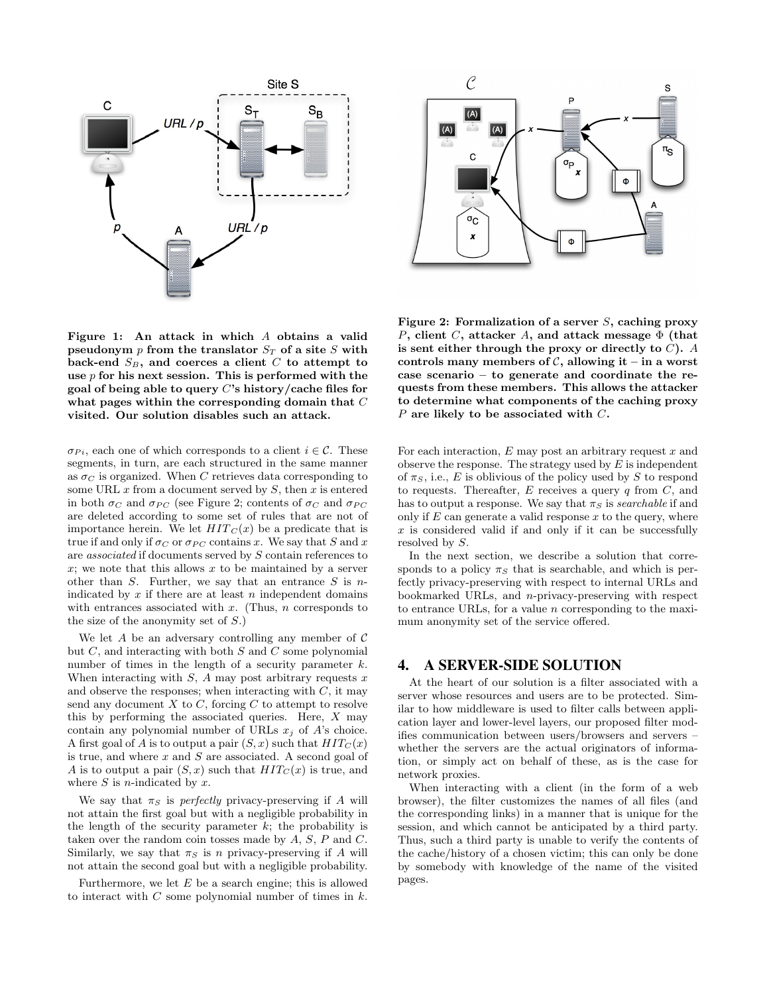

Figure 1: An attack in which A obtains a valid pseudonym  $p$  from the translator  $S_T$  of a site S with back-end  $S_B$ , and coerces a client  $C$  to attempt to use  $p$  for his next session. This is performed with the goal of being able to query C's history/cache files for what pages within the corresponding domain that C visited. Our solution disables such an attack.

 $\sigma_{Pi}$ , each one of which corresponds to a client  $i \in \mathcal{C}$ . These segments, in turn, are each structured in the same manner as  $\sigma_C$  is organized. When C retrieves data corresponding to some URL  $x$  from a document served by  $S$ , then  $x$  is entered in both  $\sigma_C$  and  $\sigma_{PC}$  (see Figure 2; contents of  $\sigma_C$  and  $\sigma_{PC}$ are deleted according to some set of rules that are not of importance herein. We let  $HIT_C(x)$  be a predicate that is true if and only if  $\sigma_C$  or  $\sigma_{PC}$  contains x. We say that S and x are associated if documents served by S contain references to x; we note that this allows x to be maintained by a server other than  $S$ . Further, we say that an entrance  $S$  is  $n$ indicated by  $x$  if there are at least  $n$  independent domains with entrances associated with  $x$ . (Thus,  $n$  corresponds to the size of the anonymity set of  $S$ .)

We let A be an adversary controlling any member of  $\mathcal C$ but  $C$ , and interacting with both  $S$  and  $C$  some polynomial number of times in the length of a security parameter k. When interacting with  $S$ ,  $A$  may post arbitrary requests  $x$ and observe the responses; when interacting with  $C$ , it may send any document  $X$  to  $C$ , forcing  $C$  to attempt to resolve this by performing the associated queries. Here,  $X$  may contain any polynomial number of URLs  $x_j$  of A's choice. A first goal of A is to output a pair  $(S, x)$  such that  $HTT_C(x)$ is true, and where  $x$  and  $S$  are associated. A second goal of A is to output a pair  $(S, x)$  such that  $HTT_C(x)$  is true, and where  $S$  is *n*-indicated by  $x$ .

We say that  $\pi_S$  is *perfectly* privacy-preserving if A will not attain the first goal but with a negligible probability in the length of the security parameter  $k$ ; the probability is taken over the random coin tosses made by  $A, S, P$  and  $C$ . Similarly, we say that  $\pi_S$  is n privacy-preserving if A will not attain the second goal but with a negligible probability.

Furthermore, we let  $E$  be a search engine; this is allowed to interact with  $C$  some polynomial number of times in  $k$ .



Figure 2: Formalization of a server  $S$ , caching proxy P, client C, attacker A, and attack message  $\Phi$  (that is sent either through the proxy or directly to  $C$ ). A controls many members of  $\mathcal{C}$ , allowing it – in a worst case scenario – to generate and coordinate the requests from these members. This allows the attacker to determine what components of the caching proxy  $P$  are likely to be associated with  $C$ .

For each interaction,  $E$  may post an arbitrary request  $x$  and observe the response. The strategy used by  $E$  is independent of  $\pi_S$ , i.e., E is oblivious of the policy used by S to respond to requests. Thereafter,  $E$  receives a query  $q$  from  $C$ , and has to output a response. We say that  $\pi_S$  is searchable if and only if  $E$  can generate a valid response  $x$  to the query, where  $x$  is considered valid if and only if it can be successfully resolved by S.

In the next section, we describe a solution that corresponds to a policy  $\pi_S$  that is searchable, and which is perfectly privacy-preserving with respect to internal URLs and bookmarked URLs, and n-privacy-preserving with respect to entrance URLs, for a value n corresponding to the maximum anonymity set of the service offered.

#### 4. A SERVER-SIDE SOLUTION

At the heart of our solution is a filter associated with a server whose resources and users are to be protected. Similar to how middleware is used to filter calls between application layer and lower-level layers, our proposed filter modifies communication between users/browsers and servers – whether the servers are the actual originators of information, or simply act on behalf of these, as is the case for network proxies.

When interacting with a client (in the form of a web browser), the filter customizes the names of all files (and the corresponding links) in a manner that is unique for the session, and which cannot be anticipated by a third party. Thus, such a third party is unable to verify the contents of the cache/history of a chosen victim; this can only be done by somebody with knowledge of the name of the visited pages.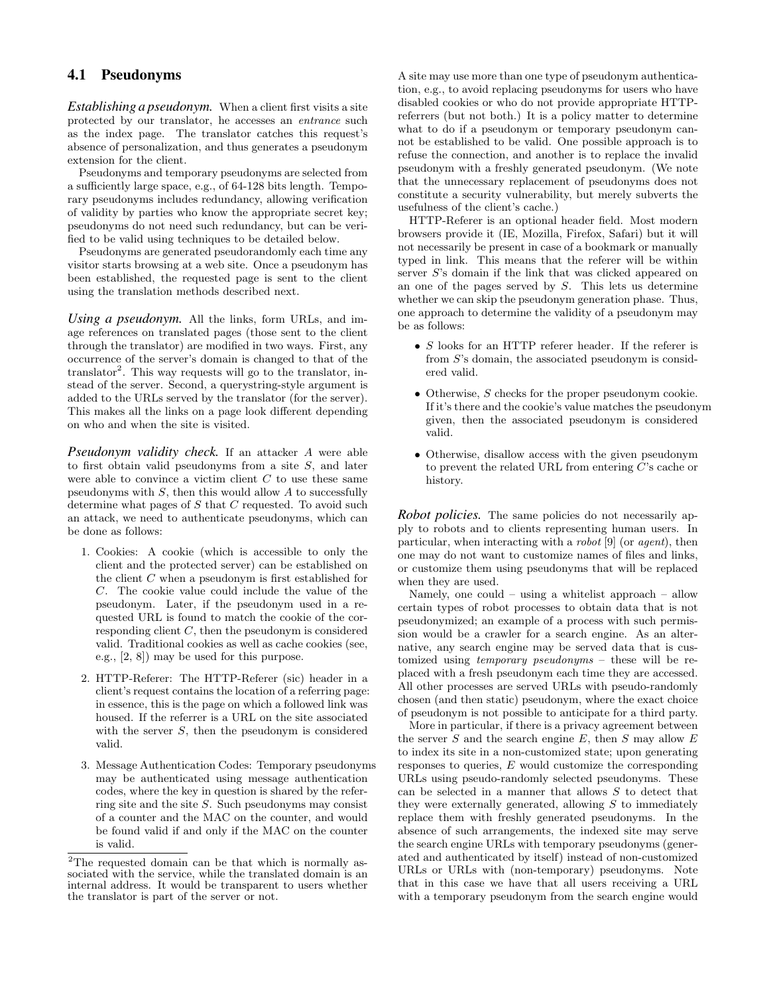## 4.1 Pseudonyms

*Establishing a pseudonym.* When a client first visits a site protected by our translator, he accesses an entrance such as the index page. The translator catches this request's absence of personalization, and thus generates a pseudonym extension for the client.

Pseudonyms and temporary pseudonyms are selected from a sufficiently large space, e.g., of 64-128 bits length. Temporary pseudonyms includes redundancy, allowing verification of validity by parties who know the appropriate secret key; pseudonyms do not need such redundancy, but can be verified to be valid using techniques to be detailed below.

Pseudonyms are generated pseudorandomly each time any visitor starts browsing at a web site. Once a pseudonym has been established, the requested page is sent to the client using the translation methods described next.

*Using a pseudonym.* All the links, form URLs, and image references on translated pages (those sent to the client through the translator) are modified in two ways. First, any occurrence of the server's domain is changed to that of the translator<sup>2</sup>. This way requests will go to the translator, instead of the server. Second, a querystring-style argument is added to the URLs served by the translator (for the server). This makes all the links on a page look different depending on who and when the site is visited.

*Pseudonym validity check.* If an attacker A were able to first obtain valid pseudonyms from a site S, and later were able to convince a victim client  $C$  to use these same pseudonyms with  $S$ , then this would allow  $A$  to successfully determine what pages of S that C requested. To avoid such an attack, we need to authenticate pseudonyms, which can be done as follows:

- 1. Cookies: A cookie (which is accessible to only the client and the protected server) can be established on the client C when a pseudonym is first established for C. The cookie value could include the value of the pseudonym. Later, if the pseudonym used in a requested URL is found to match the cookie of the corresponding client  $C$ , then the pseudonym is considered valid. Traditional cookies as well as cache cookies (see, e.g., [2, 8]) may be used for this purpose.
- 2. HTTP-Referer: The HTTP-Referer (sic) header in a client's request contains the location of a referring page: in essence, this is the page on which a followed link was housed. If the referrer is a URL on the site associated with the server  $S$ , then the pseudonym is considered valid.
- 3. Message Authentication Codes: Temporary pseudonyms may be authenticated using message authentication codes, where the key in question is shared by the referring site and the site S. Such pseudonyms may consist of a counter and the MAC on the counter, and would be found valid if and only if the MAC on the counter is valid.

A site may use more than one type of pseudonym authentication, e.g., to avoid replacing pseudonyms for users who have disabled cookies or who do not provide appropriate HTTPreferrers (but not both.) It is a policy matter to determine what to do if a pseudonym or temporary pseudonym cannot be established to be valid. One possible approach is to refuse the connection, and another is to replace the invalid pseudonym with a freshly generated pseudonym. (We note that the unnecessary replacement of pseudonyms does not constitute a security vulnerability, but merely subverts the usefulness of the client's cache.)

HTTP-Referer is an optional header field. Most modern browsers provide it (IE, Mozilla, Firefox, Safari) but it will not necessarily be present in case of a bookmark or manually typed in link. This means that the referer will be within server S's domain if the link that was clicked appeared on an one of the pages served by S. This lets us determine whether we can skip the pseudonym generation phase. Thus, one approach to determine the validity of a pseudonym may be as follows:

- $S$  looks for an HTTP referer header. If the referer is from S's domain, the associated pseudonym is considered valid.
- Otherwise, S checks for the proper pseudonym cookie. If it's there and the cookie's value matches the pseudonym given, then the associated pseudonym is considered valid.
- Otherwise, disallow access with the given pseudonym to prevent the related URL from entering C's cache or history.

*Robot policies.* The same policies do not necessarily apply to robots and to clients representing human users. In particular, when interacting with a robot [9] (or agent), then one may do not want to customize names of files and links, or customize them using pseudonyms that will be replaced when they are used.

Namely, one could – using a whitelist approach – allow certain types of robot processes to obtain data that is not pseudonymized; an example of a process with such permission would be a crawler for a search engine. As an alternative, any search engine may be served data that is customized using temporary pseudonyms – these will be replaced with a fresh pseudonym each time they are accessed. All other processes are served URLs with pseudo-randomly chosen (and then static) pseudonym, where the exact choice of pseudonym is not possible to anticipate for a third party.

More in particular, if there is a privacy agreement between the server  $S$  and the search engine  $E$ , then  $S$  may allow  $E$ to index its site in a non-customized state; upon generating responses to queries, E would customize the corresponding URLs using pseudo-randomly selected pseudonyms. These can be selected in a manner that allows S to detect that they were externally generated, allowing S to immediately replace them with freshly generated pseudonyms. In the absence of such arrangements, the indexed site may serve the search engine URLs with temporary pseudonyms (generated and authenticated by itself) instead of non-customized URLs or URLs with (non-temporary) pseudonyms. Note that in this case we have that all users receiving a URL with a temporary pseudonym from the search engine would

<sup>2</sup>The requested domain can be that which is normally associated with the service, while the translated domain is an internal address. It would be transparent to users whether the translator is part of the server or not.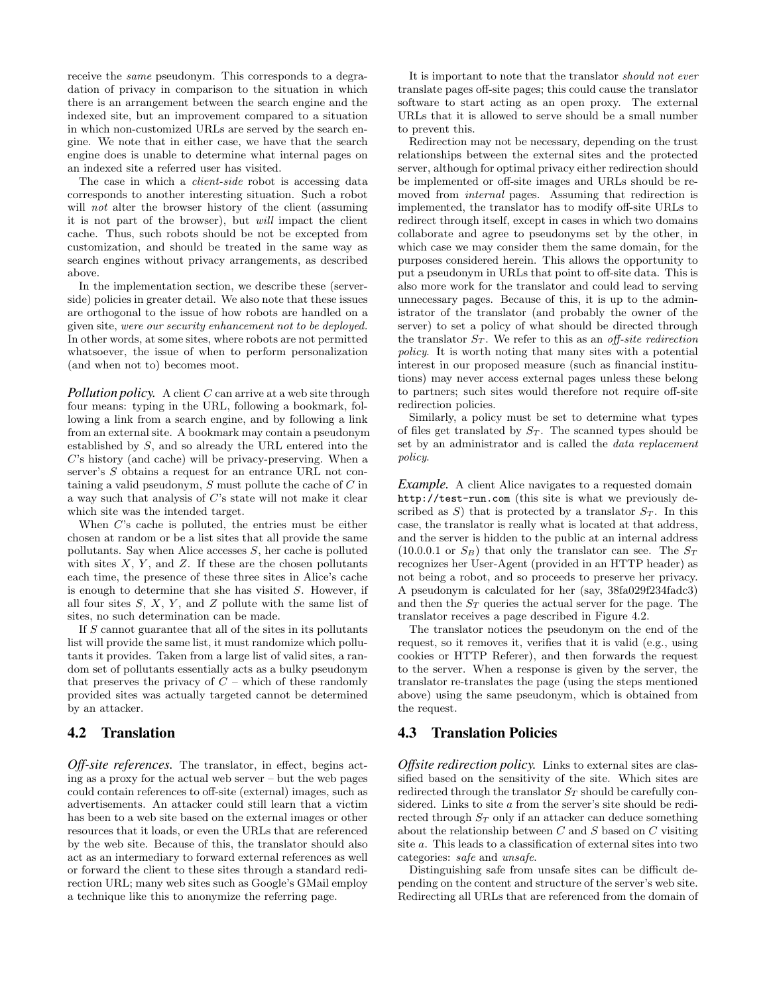receive the same pseudonym. This corresponds to a degradation of privacy in comparison to the situation in which there is an arrangement between the search engine and the indexed site, but an improvement compared to a situation in which non-customized URLs are served by the search engine. We note that in either case, we have that the search engine does is unable to determine what internal pages on an indexed site a referred user has visited.

The case in which a *client-side* robot is accessing data corresponds to another interesting situation. Such a robot will *not* alter the browser history of the client (assuming it is not part of the browser), but will impact the client cache. Thus, such robots should be not be excepted from customization, and should be treated in the same way as search engines without privacy arrangements, as described above.

In the implementation section, we describe these (serverside) policies in greater detail. We also note that these issues are orthogonal to the issue of how robots are handled on a given site, were our security enhancement not to be deployed. In other words, at some sites, where robots are not permitted whatsoever, the issue of when to perform personalization (and when not to) becomes moot.

*Pollution policy.* A client C can arrive at a web site through four means: typing in the URL, following a bookmark, following a link from a search engine, and by following a link from an external site. A bookmark may contain a pseudonym established by S, and so already the URL entered into the C's history (and cache) will be privacy-preserving. When a server's S obtains a request for an entrance URL not containing a valid pseudonym,  $S$  must pollute the cache of  $C$  in a way such that analysis of C's state will not make it clear which site was the intended target.

When C's cache is polluted, the entries must be either chosen at random or be a list sites that all provide the same pollutants. Say when Alice accesses S, her cache is polluted with sites  $X, Y$ , and  $Z$ . If these are the chosen pollutants each time, the presence of these three sites in Alice's cache is enough to determine that she has visited S. However, if all four sites  $S, X, Y$ , and  $Z$  pollute with the same list of sites, no such determination can be made.

If  $S$  cannot guarantee that all of the sites in its pollutants list will provide the same list, it must randomize which pollutants it provides. Taken from a large list of valid sites, a random set of pollutants essentially acts as a bulky pseudonym that preserves the privacy of  $C$  – which of these randomly provided sites was actually targeted cannot be determined by an attacker.

#### 4.2 Translation

*Off-site references*. The translator, in effect, begins acting as a proxy for the actual web server – but the web pages could contain references to off-site (external) images, such as advertisements. An attacker could still learn that a victim has been to a web site based on the external images or other resources that it loads, or even the URLs that are referenced by the web site. Because of this, the translator should also act as an intermediary to forward external references as well or forward the client to these sites through a standard redirection URL; many web sites such as Google's GMail employ a technique like this to anonymize the referring page.

It is important to note that the translator should not ever translate pages off-site pages; this could cause the translator software to start acting as an open proxy. The external URLs that it is allowed to serve should be a small number to prevent this.

Redirection may not be necessary, depending on the trust relationships between the external sites and the protected server, although for optimal privacy either redirection should be implemented or off-site images and URLs should be removed from *internal* pages. Assuming that redirection is implemented, the translator has to modify off-site URLs to redirect through itself, except in cases in which two domains collaborate and agree to pseudonyms set by the other, in which case we may consider them the same domain, for the purposes considered herein. This allows the opportunity to put a pseudonym in URLs that point to off-site data. This is also more work for the translator and could lead to serving unnecessary pages. Because of this, it is up to the administrator of the translator (and probably the owner of the server) to set a policy of what should be directed through the translator  $S_T$ . We refer to this as an off-site redirection policy. It is worth noting that many sites with a potential interest in our proposed measure (such as financial institutions) may never access external pages unless these belong to partners; such sites would therefore not require off-site redirection policies.

Similarly, a policy must be set to determine what types of files get translated by  $S_T$ . The scanned types should be set by an administrator and is called the data replacement policy.

*Example.* A client Alice navigates to a requested domain http://test-run.com (this site is what we previously described as  $S$ ) that is protected by a translator  $S_T$ . In this case, the translator is really what is located at that address, and the server is hidden to the public at an internal address  $(10.0.0.1 \text{ or } S_B)$  that only the translator can see. The  $S_T$ recognizes her User-Agent (provided in an HTTP header) as not being a robot, and so proceeds to preserve her privacy. A pseudonym is calculated for her (say, 38fa029f234fadc3) and then the  $S_T$  queries the actual server for the page. The translator receives a page described in Figure 4.2.

The translator notices the pseudonym on the end of the request, so it removes it, verifies that it is valid (e.g., using cookies or HTTP Referer), and then forwards the request to the server. When a response is given by the server, the translator re-translates the page (using the steps mentioned above) using the same pseudonym, which is obtained from the request.

#### 4.3 Translation Policies

*Offsite redirection policy.* Links to external sites are classified based on the sensitivity of the site. Which sites are redirected through the translator  $S_T$  should be carefully considered. Links to site a from the server's site should be redirected through  $S_T$  only if an attacker can deduce something about the relationship between  $C$  and  $S$  based on  $C$  visiting site a. This leads to a classification of external sites into two categories: safe and unsafe.

Distinguishing safe from unsafe sites can be difficult depending on the content and structure of the server's web site. Redirecting all URLs that are referenced from the domain of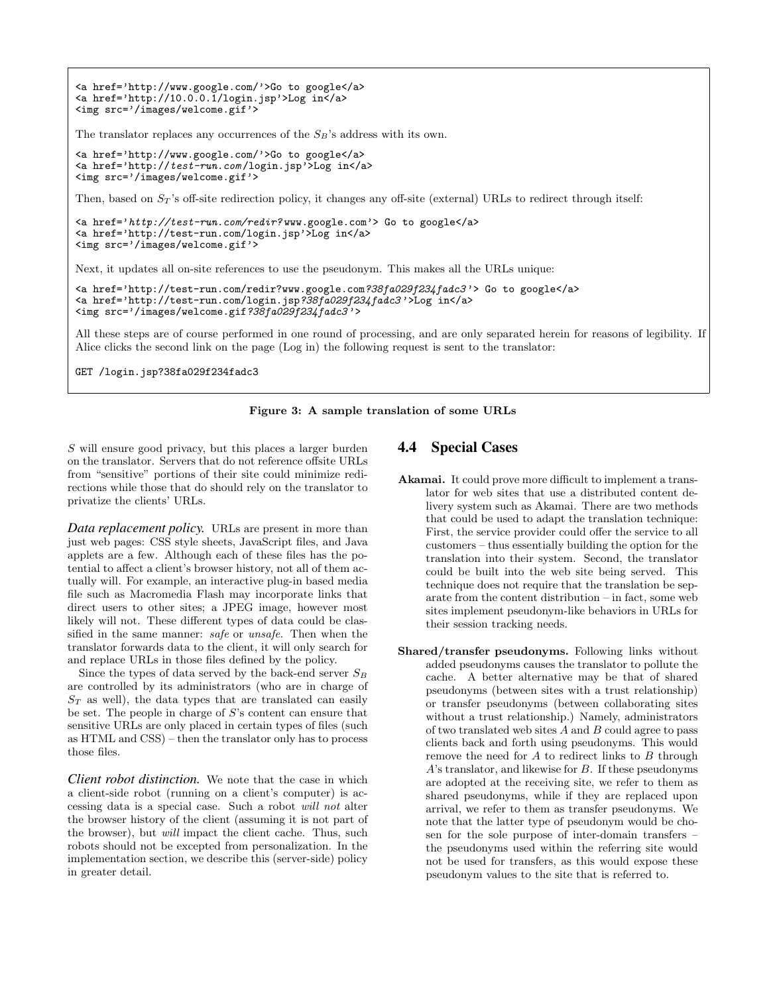```
<a href='http://www.google.com/'>Go to google</a>
<a href='http://10.0.0.1/login.jsp'>Log in</a>
<img src='/images/welcome.gif'>
The translator replaces any occurrences of the S_B's address with its own.
<a href='http://www.google.com/'>Go to google</a>
<a href='http://test-run.com /login.jsp'>Log in</a>
<img src='/images/welcome.gif'>
Then, based on S_T's off-site redirection policy, it changes any off-site (external) URLs to redirect through itself:
<a href='http://test-run.com/redir? www.google.com'> Go to google</a>
<a href='http://test-run.com/login.jsp'>Log in</a>
<img src='/images/welcome.gif'>
Next, it updates all on-site references to use the pseudonym. This makes all the URLs unique:
<a href='http://test-run.com/redir?www.google.com?38fa029f234fadc3 '> Go to google</a>
<a href='http://test-run.com/login.jsp?38fa029f234fadc3 '>Log in</a>
```
All these steps are of course performed in one round of processing, and are only separated herein for reasons of legibility. If Alice clicks the second link on the page (Log in) the following request is sent to the translator:

GET /login.jsp?38fa029f234fadc3

#### Figure 3: A sample translation of some URLs

S will ensure good privacy, but this places a larger burden on the translator. Servers that do not reference offsite URLs from "sensitive" portions of their site could minimize redirections while those that do should rely on the translator to privatize the clients' URLs.

<img src='/images/welcome.gif?38fa029f234fadc3 '>

*Data replacement policy.* URLs are present in more than just web pages: CSS style sheets, JavaScript files, and Java applets are a few. Although each of these files has the potential to affect a client's browser history, not all of them actually will. For example, an interactive plug-in based media file such as Macromedia Flash may incorporate links that direct users to other sites; a JPEG image, however most likely will not. These different types of data could be classified in the same manner: safe or unsafe. Then when the translator forwards data to the client, it will only search for and replace URLs in those files defined by the policy.

Since the types of data served by the back-end server  $S_B$ are controlled by its administrators (who are in charge of  $S_T$  as well), the data types that are translated can easily be set. The people in charge of S's content can ensure that sensitive URLs are only placed in certain types of files (such as HTML and CSS) – then the translator only has to process those files.

*Client robot distinction.* We note that the case in which a client-side robot (running on a client's computer) is accessing data is a special case. Such a robot will not alter the browser history of the client (assuming it is not part of the browser), but will impact the client cache. Thus, such robots should not be excepted from personalization. In the implementation section, we describe this (server-side) policy in greater detail.

### 4.4 Special Cases

- Akamai. It could prove more difficult to implement a translator for web sites that use a distributed content delivery system such as Akamai. There are two methods that could be used to adapt the translation technique: First, the service provider could offer the service to all customers – thus essentially building the option for the translation into their system. Second, the translator could be built into the web site being served. This technique does not require that the translation be separate from the content distribution – in fact, some web sites implement pseudonym-like behaviors in URLs for their session tracking needs.
- Shared/transfer pseudonyms. Following links without added pseudonyms causes the translator to pollute the cache. A better alternative may be that of shared pseudonyms (between sites with a trust relationship) or transfer pseudonyms (between collaborating sites without a trust relationship.) Namely, administrators of two translated web sites  $A$  and  $B$  could agree to pass clients back and forth using pseudonyms. This would remove the need for A to redirect links to B through A's translator, and likewise for B. If these pseudonyms are adopted at the receiving site, we refer to them as shared pseudonyms, while if they are replaced upon arrival, we refer to them as transfer pseudonyms. We note that the latter type of pseudonym would be chosen for the sole purpose of inter-domain transfers – the pseudonyms used within the referring site would not be used for transfers, as this would expose these pseudonym values to the site that is referred to.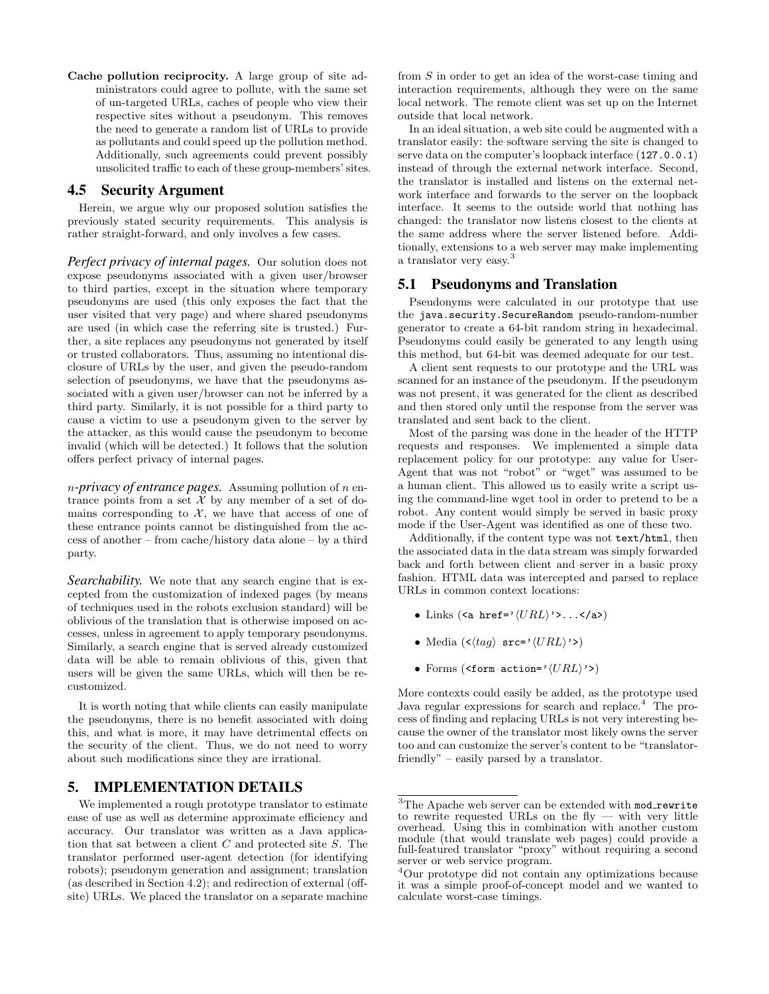Cache pollution reciprocity. A large group of site administrators could agree to pollute, with the same set of un-targeted URLs, caches of people who view their respective sites without a pseudonym. This removes the need to generate a random list of URLs to provide as pollutants and could speed up the pollution method. Additionally, such agreements could prevent possibly unsolicited traffic to each of these group-members' sites.

#### 4.5 Security Argument

Herein, we argue why our proposed solution satisfies the previously stated security requirements. This analysis is rather straight-forward, and only involves a few cases.

*Perfect privacy of internal pages.* Our solution does not expose pseudonyms associated with a given user/browser to third parties, except in the situation where temporary pseudonyms are used (this only exposes the fact that the user visited that very page) and where shared pseudonyms are used (in which case the referring site is trusted.) Further, a site replaces any pseudonyms not generated by itself or trusted collaborators. Thus, assuming no intentional disclosure of URLs by the user, and given the pseudo-random selection of pseudonyms, we have that the pseudonyms associated with a given user/browser can not be inferred by a third party. Similarly, it is not possible for a third party to cause a victim to use a pseudonym given to the server by the attacker, as this would cause the pseudonym to become invalid (which will be detected.) It follows that the solution offers perfect privacy of internal pages.

n*-privacy of entrance pages.* Assuming pollution of n entrance points from a set  $\mathcal X$  by any member of a set of domains corresponding to  $\mathcal{X}$ , we have that access of one of these entrance points cannot be distinguished from the access of another – from cache/history data alone – by a third party.

*Searchability.* We note that any search engine that is excepted from the customization of indexed pages (by means of techniques used in the robots exclusion standard) will be oblivious of the translation that is otherwise imposed on accesses, unless in agreement to apply temporary pseudonyms. Similarly, a search engine that is served already customized data will be able to remain oblivious of this, given that users will be given the same URLs, which will then be recustomized.

It is worth noting that while clients can easily manipulate the pseudonyms, there is no benefit associated with doing this, and what is more, it may have detrimental effects on the security of the client. Thus, we do not need to worry about such modifications since they are irrational.

## 5. IMPLEMENTATION DETAILS

We implemented a rough prototype translator to estimate ease of use as well as determine approximate efficiency and accuracy. Our translator was written as a Java application that sat between a client  $C$  and protected site  $S$ . The translator performed user-agent detection (for identifying robots); pseudonym generation and assignment; translation (as described in Section 4.2); and redirection of external (offsite) URLs. We placed the translator on a separate machine

from S in order to get an idea of the worst-case timing and interaction requirements, although they were on the same local network. The remote client was set up on the Internet outside that local network.

In an ideal situation, a web site could be augmented with a translator easily: the software serving the site is changed to serve data on the computer's loopback interface (127.0.0.1) instead of through the external network interface. Second, the translator is installed and listens on the external network interface and forwards to the server on the loopback interface. It seems to the outside world that nothing has changed: the translator now listens closest to the clients at the same address where the server listened before. Additionally, extensions to a web server may make implementing a translator very easy.<sup>3</sup>

#### 5.1 Pseudonyms and Translation

Pseudonyms were calculated in our prototype that use the java.security.SecureRandom pseudo-random-number generator to create a 64-bit random string in hexadecimal. Pseudonyms could easily be generated to any length using this method, but 64-bit was deemed adequate for our test.

A client sent requests to our prototype and the URL was scanned for an instance of the pseudonym. If the pseudonym was not present, it was generated for the client as described and then stored only until the response from the server was translated and sent back to the client.

Most of the parsing was done in the header of the HTTP requests and responses. We implemented a simple data replacement policy for our prototype: any value for User-Agent that was not "robot" or "wget" was assumed to be a human client. This allowed us to easily write a script using the command-line wget tool in order to pretend to be a robot. Any content would simply be served in basic proxy mode if the User-Agent was identified as one of these two.

Additionally, if the content type was not text/html, then the associated data in the data stream was simply forwarded back and forth between client and server in a basic proxy fashion. HTML data was intercepted and parsed to replace URLs in common context locations:

- Links (<a href=' $\langle URL \rangle$ '>...</a>)
- Media  $\langle \langle tag \rangle$  src=' $\langle URL \rangle$ '>)
- Forms (<form action=' $\langle URL \rangle$ '>)

More contexts could easily be added, as the prototype used Java regular expressions for search and replace.<sup>4</sup> The process of finding and replacing URLs is not very interesting because the owner of the translator most likely owns the server too and can customize the server's content to be "translatorfriendly" – easily parsed by a translator.

 $3$ The Apache web server can be extended with mod rewrite to rewrite requested URLs on the fly — with very little overhead. Using this in combination with another custom module (that would translate web pages) could provide a full-featured translator "proxy" without requiring a second server or web service program.

<sup>4</sup>Our prototype did not contain any optimizations because it was a simple proof-of-concept model and we wanted to calculate worst-case timings.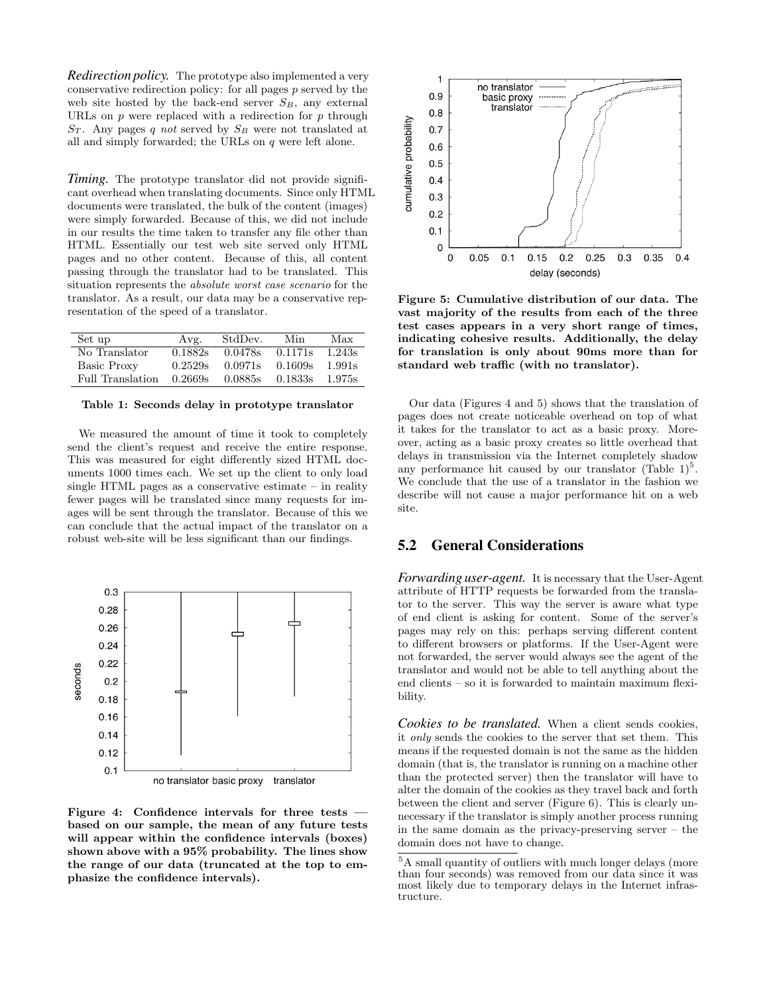*Redirection policy.* The prototype also implemented a very conservative redirection policy: for all pages  $p$  served by the web site hosted by the back-end server  $S_B$ , any external URLs on  $p$  were replaced with a redirection for  $p$  through  $S_T$ . Any pages q not served by  $S_B$  were not translated at all and simply forwarded; the URLs on q were left alone.

*Timing.* The prototype translator did not provide significant overhead when translating documents. Since only HTML documents were translated, the bulk of the content (images) were simply forwarded. Because of this, we did not include in our results the time taken to transfer any file other than HTML. Essentially our test web site served only HTML pages and no other content. Because of this, all content passing through the translator had to be translated. This situation represents the absolute worst case scenario for the translator. As a result, our data may be a conservative representation of the speed of a translator.

| Set up             | Avg.    | StdDev. | Min     | Max    |
|--------------------|---------|---------|---------|--------|
| No Translator      | 0.1882s | 0.0478s | 0.1171s | 1.243s |
| <b>Basic Proxy</b> | 0.2529s | 0.0971s | 0.1609s | 1.991s |
| Full Translation   | 0.2669s | 0.0885s | 0.1833s | 1.975s |

Table 1: Seconds delay in prototype translator

We measured the amount of time it took to completely send the client's request and receive the entire response. This was measured for eight differently sized HTML documents 1000 times each. We set up the client to only load single HTML pages as a conservative estimate – in reality fewer pages will be translated since many requests for images will be sent through the translator. Because of this we can conclude that the actual impact of the translator on a robust web-site will be less significant than our findings.



Figure 4: Confidence intervals for three tests based on our sample, the mean of any future tests will appear within the confidence intervals (boxes) shown above with a 95% probability. The lines show the range of our data (truncated at the top to emphasize the confidence intervals).



Figure 5: Cumulative distribution of our data. The vast majority of the results from each of the three test cases appears in a very short range of times, indicating cohesive results. Additionally, the delay for translation is only about 90ms more than for standard web traffic (with no translator).

Our data (Figures 4 and 5) shows that the translation of pages does not create noticeable overhead on top of what it takes for the translator to act as a basic proxy. Moreover, acting as a basic proxy creates so little overhead that delays in transmission via the Internet completely shadow any performance hit caused by our translator  $(Table 1)^5$ . We conclude that the use of a translator in the fashion we describe will not cause a major performance hit on a web site.

## 5.2 General Considerations

*Forwarding user-agent.* It is necessary that the User-Agent attribute of HTTP requests be forwarded from the translator to the server. This way the server is aware what type of end client is asking for content. Some of the server's pages may rely on this: perhaps serving different content to different browsers or platforms. If the User-Agent were not forwarded, the server would always see the agent of the translator and would not be able to tell anything about the end clients – so it is forwarded to maintain maximum flexibility.

*Cookies to be translated.* When a client sends cookies, it only sends the cookies to the server that set them. This means if the requested domain is not the same as the hidden domain (that is, the translator is running on a machine other than the protected server) then the translator will have to alter the domain of the cookies as they travel back and forth between the client and server (Figure 6). This is clearly unnecessary if the translator is simply another process running in the same domain as the privacy-preserving server – the domain does not have to change.

 $^5\mathrm{A}$  small quantity of outliers with much longer delays (more than four seconds) was removed from our data since it was most likely due to temporary delays in the Internet infrastructure.